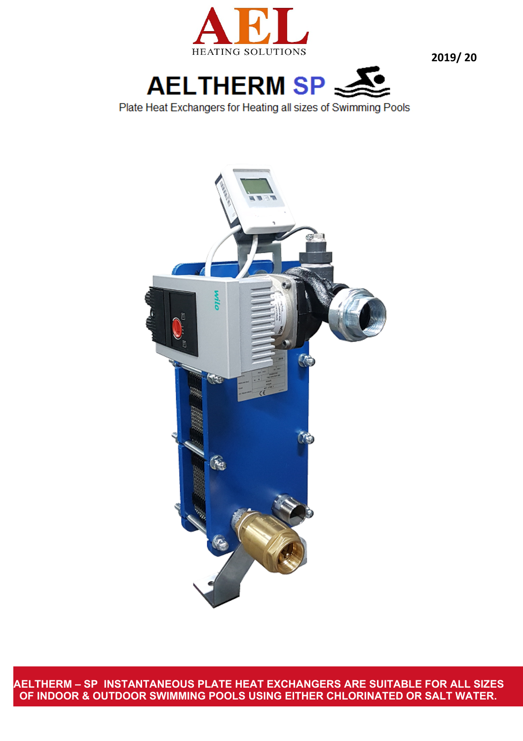



Plate Heat Exchangers for Heating all sizes of Swimming Pools



**AELTHERM – SP INSTANTANEOUS PLATE HEAT EXCHANGERS ARE SUITABLE FOR ALL SIZES OF INDOOR & OUTDOOR SWIMMING POOLS USING EITHER CHLORINATED OR SALT WATER.**